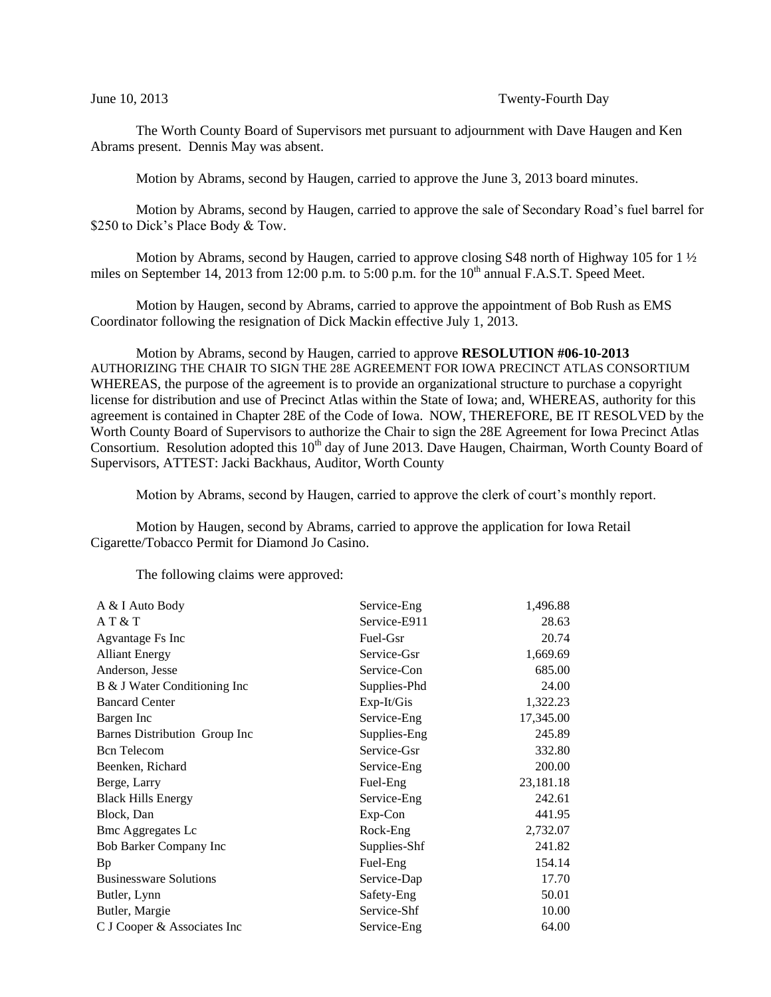## June 10, 2013 Twenty-Fourth Day

The Worth County Board of Supervisors met pursuant to adjournment with Dave Haugen and Ken Abrams present. Dennis May was absent.

Motion by Abrams, second by Haugen, carried to approve the June 3, 2013 board minutes.

Motion by Abrams, second by Haugen, carried to approve the sale of Secondary Road's fuel barrel for \$250 to Dick's Place Body & Tow.

Motion by Abrams, second by Haugen, carried to approve closing S48 north of Highway 105 for 1  $\frac{1}{2}$ miles on September 14, 2013 from 12:00 p.m. to 5:00 p.m. for the  $10<sup>th</sup>$  annual F.A.S.T. Speed Meet.

Motion by Haugen, second by Abrams, carried to approve the appointment of Bob Rush as EMS Coordinator following the resignation of Dick Mackin effective July 1, 2013.

Motion by Abrams, second by Haugen, carried to approve **RESOLUTION #06-10-2013** AUTHORIZING THE CHAIR TO SIGN THE 28E AGREEMENT FOR IOWA PRECINCT ATLAS CONSORTIUM WHEREAS, the purpose of the agreement is to provide an organizational structure to purchase a copyright license for distribution and use of Precinct Atlas within the State of Iowa; and, WHEREAS, authority for this agreement is contained in Chapter 28E of the Code of Iowa. NOW, THEREFORE, BE IT RESOLVED by the Worth County Board of Supervisors to authorize the Chair to sign the 28E Agreement for Iowa Precinct Atlas Consortium. Resolution adopted this 10<sup>th</sup> day of June 2013. Dave Haugen, Chairman, Worth County Board of Supervisors, ATTEST: Jacki Backhaus, Auditor, Worth County

Motion by Abrams, second by Haugen, carried to approve the clerk of court's monthly report.

Motion by Haugen, second by Abrams, carried to approve the application for Iowa Retail Cigarette/Tobacco Permit for Diamond Jo Casino.

The following claims were approved:

| A & I Auto Body               | Service-Eng  | 1,496.88  |
|-------------------------------|--------------|-----------|
| AT & T                        | Service-E911 | 28.63     |
| Agvantage Fs Inc              | Fuel-Gsr     | 20.74     |
| <b>Alliant Energy</b>         | Service-Gsr  | 1,669.69  |
| Anderson, Jesse               | Service-Con  | 685.00    |
| B & J Water Conditioning Inc  | Supplies-Phd | 24.00     |
| <b>Bancard Center</b>         | $Exp-It/Gis$ | 1,322.23  |
| Bargen Inc                    | Service-Eng  | 17,345.00 |
| Barnes Distribution Group Inc | Supplies-Eng | 245.89    |
| <b>Bcn</b> Telecom            | Service-Gsr  | 332.80    |
| Beenken, Richard              | Service-Eng  | 200.00    |
| Berge, Larry                  | Fuel-Eng     | 23,181.18 |
| <b>Black Hills Energy</b>     | Service-Eng  | 242.61    |
| Block, Dan                    | Exp-Con      | 441.95    |
| <b>Bmc Aggregates Lc</b>      | Rock-Eng     | 2,732.07  |
| Bob Barker Company Inc        | Supplies-Shf | 241.82    |
| Bp                            | Fuel-Eng     | 154.14    |
| <b>Businessware Solutions</b> | Service-Dap  | 17.70     |
| Butler, Lynn                  | Safety-Eng   | 50.01     |
| Butler, Margie                | Service-Shf  | 10.00     |
| C J Cooper & Associates Inc   | Service-Eng  | 64.00     |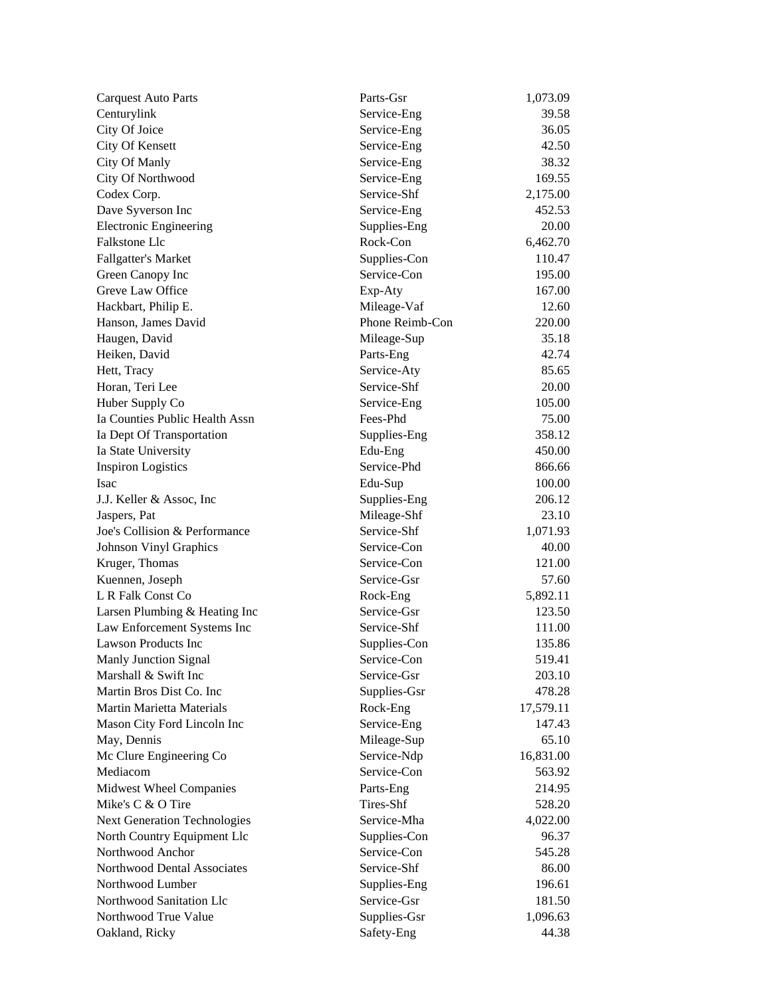| <b>Carquest Auto Parts</b>          | Parts-Gsr               | 1,073.09            |
|-------------------------------------|-------------------------|---------------------|
| Centurylink                         | Service-Eng             | 39.58               |
| City Of Joice                       | Service-Eng             | 36.05               |
| City Of Kensett                     | Service-Eng             | 42.50               |
| City Of Manly                       | Service-Eng             | 38.32               |
| City Of Northwood                   | Service-Eng             | 169.55              |
| Codex Corp.                         | Service-Shf             | 2,175.00            |
| Dave Syverson Inc                   | Service-Eng             | 452.53              |
| <b>Electronic Engineering</b>       | Supplies-Eng            | 20.00               |
| <b>Falkstone Llc</b>                | Rock-Con                | 6,462.70            |
| <b>Fallgatter's Market</b>          | Supplies-Con            | 110.47              |
| Green Canopy Inc                    | Service-Con             | 195.00              |
| Greve Law Office                    | Exp-Aty                 | 167.00              |
| Hackbart, Philip E.                 | Mileage-Vaf             | 12.60               |
| Hanson, James David                 | Phone Reimb-Con         | 220.00              |
| Haugen, David                       | Mileage-Sup             | 35.18               |
| Heiken, David                       | Parts-Eng               | 42.74               |
| Hett, Tracy                         | Service-Aty             | 85.65               |
| Horan, Teri Lee                     | Service-Shf             | 20.00               |
| Huber Supply Co                     | Service-Eng             | 105.00              |
| Ia Counties Public Health Assn      | Fees-Phd                | 75.00               |
| Ia Dept Of Transportation           | Supplies-Eng            | 358.12              |
| Ia State University                 | Edu-Eng                 | 450.00              |
| <b>Inspiron Logistics</b>           | Service-Phd             | 866.66              |
| Isac                                | Edu-Sup                 | 100.00              |
| J.J. Keller & Assoc, Inc.           | Supplies-Eng            | 206.12              |
| Jaspers, Pat                        | Mileage-Shf             | 23.10               |
| Joe's Collision & Performance       | Service-Shf             | 1,071.93            |
| Johnson Vinyl Graphics              | Service-Con             | 40.00               |
| Kruger, Thomas                      | Service-Con             | 121.00              |
| Kuennen, Joseph                     | Service-Gsr             | 57.60               |
| L R Falk Const Co                   | Rock-Eng                | 5,892.11            |
| Larsen Plumbing & Heating Inc       | Service-Gsr             | 123.50              |
| Law Enforcement Systems Inc         | Service-Shf             | 111.00              |
| <b>Lawson Products Inc</b>          | Supplies-Con            | 135.86              |
| Manly Junction Signal               | Service-Con             | 519.41              |
| Marshall & Swift Inc                | Service-Gsr             | 203.10              |
| Martin Bros Dist Co. Inc            | Supplies-Gsr            | 478.28              |
| <b>Martin Marietta Materials</b>    |                         |                     |
|                                     | Rock-Eng<br>Service-Eng | 17,579.11<br>147.43 |
| Mason City Ford Lincoln Inc         |                         |                     |
| May, Dennis                         | Mileage-Sup             | 65.10               |
| Mc Clure Engineering Co             | Service-Ndp             | 16,831.00           |
| Mediacom                            | Service-Con             | 563.92              |
| Midwest Wheel Companies             | Parts-Eng               | 214.95              |
| Mike's C & O Tire                   | Tires-Shf               | 528.20              |
| <b>Next Generation Technologies</b> | Service-Mha             | 4,022.00            |
| North Country Equipment Llc         | Supplies-Con            | 96.37               |
| Northwood Anchor                    | Service-Con             | 545.28              |
| Northwood Dental Associates         | Service-Shf             | 86.00               |
| Northwood Lumber                    | Supplies-Eng            | 196.61              |
| Northwood Sanitation Llc            | Service-Gsr             | 181.50              |
| Northwood True Value                | Supplies-Gsr            | 1,096.63            |
| Oakland, Ricky                      | Safety-Eng              | 44.38               |